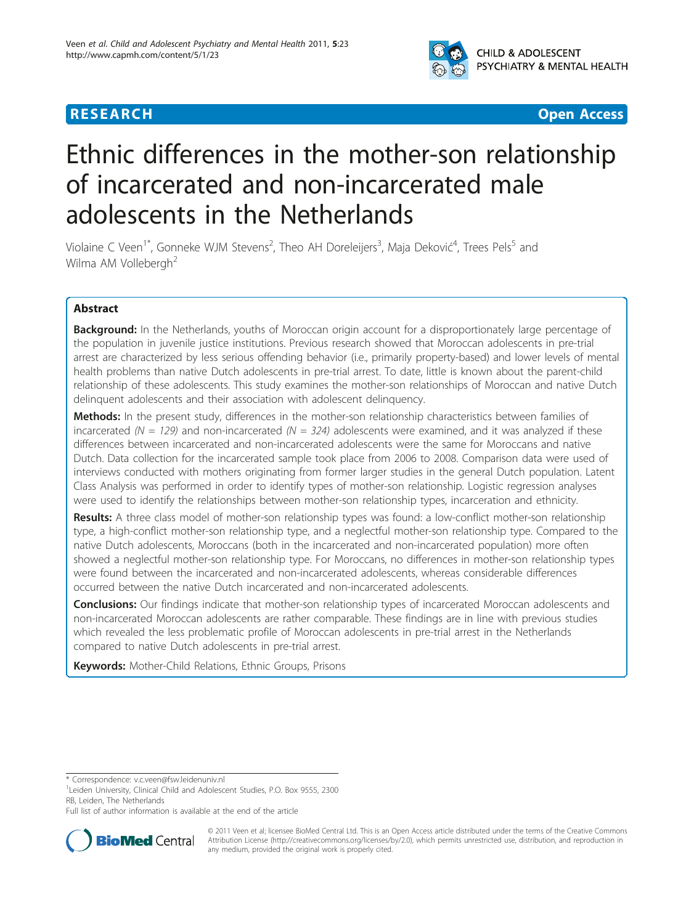## **CHILD & ADOLESCENT** PSYCHIATRY & MENTAL HEALTH



# Ethnic differences in the mother-son relationship of incarcerated and non-incarcerated male adolescents in the Netherlands

Violaine C Veen<sup>1\*</sup>, Gonneke WJM Stevens<sup>2</sup>, Theo AH Doreleijers<sup>3</sup>, Maja Deković<sup>4</sup>, Trees Pels<sup>5</sup> and Wilma AM Vollebergh<sup>2</sup>

### Abstract

**Background:** In the Netherlands, youths of Moroccan origin account for a disproportionately large percentage of the population in juvenile justice institutions. Previous research showed that Moroccan adolescents in pre-trial arrest are characterized by less serious offending behavior (i.e., primarily property-based) and lower levels of mental health problems than native Dutch adolescents in pre-trial arrest. To date, little is known about the parent-child relationship of these adolescents. This study examines the mother-son relationships of Moroccan and native Dutch delinquent adolescents and their association with adolescent delinquency.

Methods: In the present study, differences in the mother-son relationship characteristics between families of incarcerated ( $N = 129$ ) and non-incarcerated ( $N = 324$ ) adolescents were examined, and it was analyzed if these differences between incarcerated and non-incarcerated adolescents were the same for Moroccans and native Dutch. Data collection for the incarcerated sample took place from 2006 to 2008. Comparison data were used of interviews conducted with mothers originating from former larger studies in the general Dutch population. Latent Class Analysis was performed in order to identify types of mother-son relationship. Logistic regression analyses were used to identify the relationships between mother-son relationship types, incarceration and ethnicity.

Results: A three class model of mother-son relationship types was found: a low-conflict mother-son relationship type, a high-conflict mother-son relationship type, and a neglectful mother-son relationship type. Compared to the native Dutch adolescents, Moroccans (both in the incarcerated and non-incarcerated population) more often showed a neglectful mother-son relationship type. For Moroccans, no differences in mother-son relationship types were found between the incarcerated and non-incarcerated adolescents, whereas considerable differences occurred between the native Dutch incarcerated and non-incarcerated adolescents.

**Conclusions:** Our findings indicate that mother-son relationship types of incarcerated Moroccan adolescents and non-incarcerated Moroccan adolescents are rather comparable. These findings are in line with previous studies which revealed the less problematic profile of Moroccan adolescents in pre-trial arrest in the Netherlands compared to native Dutch adolescents in pre-trial arrest.

Keywords: Mother-Child Relations, Ethnic Groups, Prisons

Full list of author information is available at the end of the article



© 2011 Veen et al; licensee BioMed Central Ltd. This is an Open Access article distributed under the terms of the Creative Commons Attribution License [\(http://creativecommons.org/licenses/by/2.0](http://creativecommons.org/licenses/by/2.0)), which permits unrestricted use, distribution, and reproduction in any medium, provided the original work is properly cited.

<sup>\*</sup> Correspondence: [v.c.veen@fsw.leidenuniv.nl](mailto:v.c.veen@fsw.leidenuniv.nl)

<sup>&</sup>lt;sup>1</sup>Leiden University, Clinical Child and Adolescent Studies, P.O. Box 9555, 2300 RB, Leiden, The Netherlands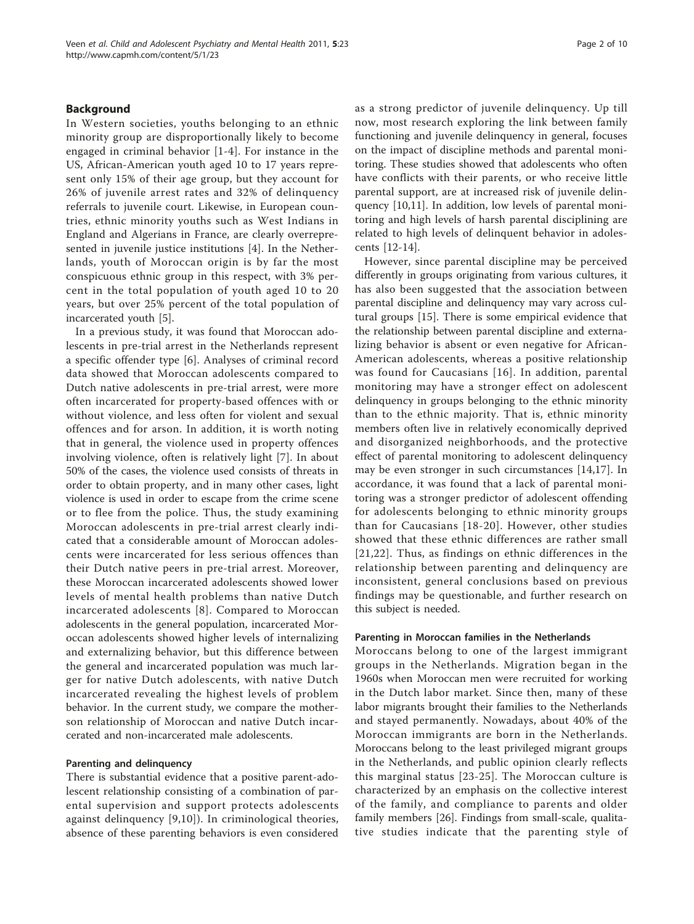#### Background

In Western societies, youths belonging to an ethnic minority group are disproportionally likely to become engaged in criminal behavior [[1](#page-8-0)-[4\]](#page-8-0). For instance in the US, African-American youth aged 10 to 17 years represent only 15% of their age group, but they account for 26% of juvenile arrest rates and 32% of delinquency referrals to juvenile court. Likewise, in European countries, ethnic minority youths such as West Indians in England and Algerians in France, are clearly overrepresented in juvenile justice institutions [\[4](#page-8-0)]. In the Netherlands, youth of Moroccan origin is by far the most conspicuous ethnic group in this respect, with 3% percent in the total population of youth aged 10 to 20 years, but over 25% percent of the total population of incarcerated youth [\[5](#page-8-0)].

In a previous study, it was found that Moroccan adolescents in pre-trial arrest in the Netherlands represent a specific offender type [[6\]](#page-8-0). Analyses of criminal record data showed that Moroccan adolescents compared to Dutch native adolescents in pre-trial arrest, were more often incarcerated for property-based offences with or without violence, and less often for violent and sexual offences and for arson. In addition, it is worth noting that in general, the violence used in property offences involving violence, often is relatively light [[7\]](#page-8-0). In about 50% of the cases, the violence used consists of threats in order to obtain property, and in many other cases, light violence is used in order to escape from the crime scene or to flee from the police. Thus, the study examining Moroccan adolescents in pre-trial arrest clearly indicated that a considerable amount of Moroccan adolescents were incarcerated for less serious offences than their Dutch native peers in pre-trial arrest. Moreover, these Moroccan incarcerated adolescents showed lower levels of mental health problems than native Dutch incarcerated adolescents [[8](#page-8-0)]. Compared to Moroccan adolescents in the general population, incarcerated Moroccan adolescents showed higher levels of internalizing and externalizing behavior, but this difference between the general and incarcerated population was much larger for native Dutch adolescents, with native Dutch incarcerated revealing the highest levels of problem behavior. In the current study, we compare the motherson relationship of Moroccan and native Dutch incarcerated and non-incarcerated male adolescents.

#### Parenting and delinquency

There is substantial evidence that a positive parent-adolescent relationship consisting of a combination of parental supervision and support protects adolescents against delinquency [[9,10](#page-8-0)]). In criminological theories, absence of these parenting behaviors is even considered as a strong predictor of juvenile delinquency. Up till now, most research exploring the link between family functioning and juvenile delinquency in general, focuses on the impact of discipline methods and parental monitoring. These studies showed that adolescents who often have conflicts with their parents, or who receive little parental support, are at increased risk of juvenile delinquency [\[10,11](#page-8-0)]. In addition, low levels of parental monitoring and high levels of harsh parental disciplining are related to high levels of delinquent behavior in adolescents [\[12-14](#page-8-0)].

However, since parental discipline may be perceived differently in groups originating from various cultures, it has also been suggested that the association between parental discipline and delinquency may vary across cultural groups [[15\]](#page-8-0). There is some empirical evidence that the relationship between parental discipline and externalizing behavior is absent or even negative for African-American adolescents, whereas a positive relationship was found for Caucasians [[16](#page-8-0)]. In addition, parental monitoring may have a stronger effect on adolescent delinquency in groups belonging to the ethnic minority than to the ethnic majority. That is, ethnic minority members often live in relatively economically deprived and disorganized neighborhoods, and the protective effect of parental monitoring to adolescent delinquency may be even stronger in such circumstances [[14,17\]](#page-8-0). In accordance, it was found that a lack of parental monitoring was a stronger predictor of adolescent offending for adolescents belonging to ethnic minority groups than for Caucasians [[18](#page-8-0)-[20\]](#page-8-0). However, other studies showed that these ethnic differences are rather small [[21](#page-8-0),[22](#page-9-0)]. Thus, as findings on ethnic differences in the relationship between parenting and delinquency are inconsistent, general conclusions based on previous findings may be questionable, and further research on this subject is needed.

#### Parenting in Moroccan families in the Netherlands

Moroccans belong to one of the largest immigrant groups in the Netherlands. Migration began in the 1960s when Moroccan men were recruited for working in the Dutch labor market. Since then, many of these labor migrants brought their families to the Netherlands and stayed permanently. Nowadays, about 40% of the Moroccan immigrants are born in the Netherlands. Moroccans belong to the least privileged migrant groups in the Netherlands, and public opinion clearly reflects this marginal status [[23](#page-9-0)-[25](#page-9-0)]. The Moroccan culture is characterized by an emphasis on the collective interest of the family, and compliance to parents and older family members [\[26](#page-9-0)]. Findings from small-scale, qualitative studies indicate that the parenting style of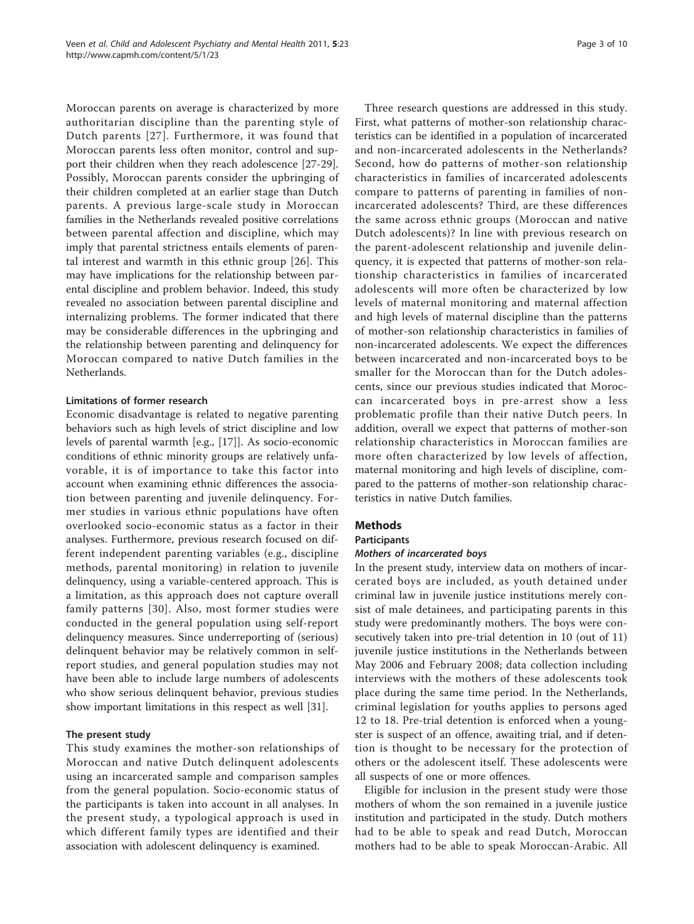Moroccan parents on average is characterized by more authoritarian discipline than the parenting style of Dutch parents [[27](#page-9-0)]. Furthermore, it was found that Moroccan parents less often monitor, control and support their children when they reach adolescence [\[27-29](#page-9-0)]. Possibly, Moroccan parents consider the upbringing of their children completed at an earlier stage than Dutch parents. A previous large-scale study in Moroccan families in the Netherlands revealed positive correlations between parental affection and discipline, which may imply that parental strictness entails elements of parental interest and warmth in this ethnic group [[26\]](#page-9-0). This may have implications for the relationship between parental discipline and problem behavior. Indeed, this study revealed no association between parental discipline and internalizing problems. The former indicated that there may be considerable differences in the upbringing and the relationship between parenting and delinquency for Moroccan compared to native Dutch families in the Netherlands.

#### Limitations of former research

Economic disadvantage is related to negative parenting behaviors such as high levels of strict discipline and low levels of parental warmth [e.g., [[17](#page-8-0)]]. As socio-economic conditions of ethnic minority groups are relatively unfavorable, it is of importance to take this factor into account when examining ethnic differences the association between parenting and juvenile delinquency. Former studies in various ethnic populations have often overlooked socio-economic status as a factor in their analyses. Furthermore, previous research focused on different independent parenting variables (e.g., discipline methods, parental monitoring) in relation to juvenile delinquency, using a variable-centered approach. This is a limitation, as this approach does not capture overall family patterns [[30](#page-9-0)]. Also, most former studies were conducted in the general population using self-report delinquency measures. Since underreporting of (serious) delinquent behavior may be relatively common in selfreport studies, and general population studies may not have been able to include large numbers of adolescents who show serious delinquent behavior, previous studies show important limitations in this respect as well [[31](#page-9-0)].

#### The present study

This study examines the mother-son relationships of Moroccan and native Dutch delinquent adolescents using an incarcerated sample and comparison samples from the general population. Socio-economic status of the participants is taken into account in all analyses. In the present study, a typological approach is used in which different family types are identified and their association with adolescent delinquency is examined.

Three research questions are addressed in this study. First, what patterns of mother-son relationship characteristics can be identified in a population of incarcerated and non-incarcerated adolescents in the Netherlands? Second, how do patterns of mother-son relationship characteristics in families of incarcerated adolescents compare to patterns of parenting in families of nonincarcerated adolescents? Third, are these differences the same across ethnic groups (Moroccan and native Dutch adolescents)? In line with previous research on the parent-adolescent relationship and juvenile delinquency, it is expected that patterns of mother-son relationship characteristics in families of incarcerated adolescents will more often be characterized by low levels of maternal monitoring and maternal affection and high levels of maternal discipline than the patterns of mother-son relationship characteristics in families of non-incarcerated adolescents. We expect the differences between incarcerated and non-incarcerated boys to be smaller for the Moroccan than for the Dutch adolescents, since our previous studies indicated that Moroccan incarcerated boys in pre-arrest show a less problematic profile than their native Dutch peers. In addition, overall we expect that patterns of mother-son relationship characteristics in Moroccan families are more often characterized by low levels of affection, maternal monitoring and high levels of discipline, compared to the patterns of mother-son relationship characteristics in native Dutch families.

#### Methods

#### **Participants**

#### Mothers of incarcerated boys

In the present study, interview data on mothers of incarcerated boys are included, as youth detained under criminal law in juvenile justice institutions merely consist of male detainees, and participating parents in this study were predominantly mothers. The boys were consecutively taken into pre-trial detention in 10 (out of 11) juvenile justice institutions in the Netherlands between May 2006 and February 2008; data collection including interviews with the mothers of these adolescents took place during the same time period. In the Netherlands, criminal legislation for youths applies to persons aged 12 to 18. Pre-trial detention is enforced when a youngster is suspect of an offence, awaiting trial, and if detention is thought to be necessary for the protection of others or the adolescent itself. These adolescents were all suspects of one or more offences.

Eligible for inclusion in the present study were those mothers of whom the son remained in a juvenile justice institution and participated in the study. Dutch mothers had to be able to speak and read Dutch, Moroccan mothers had to be able to speak Moroccan-Arabic. All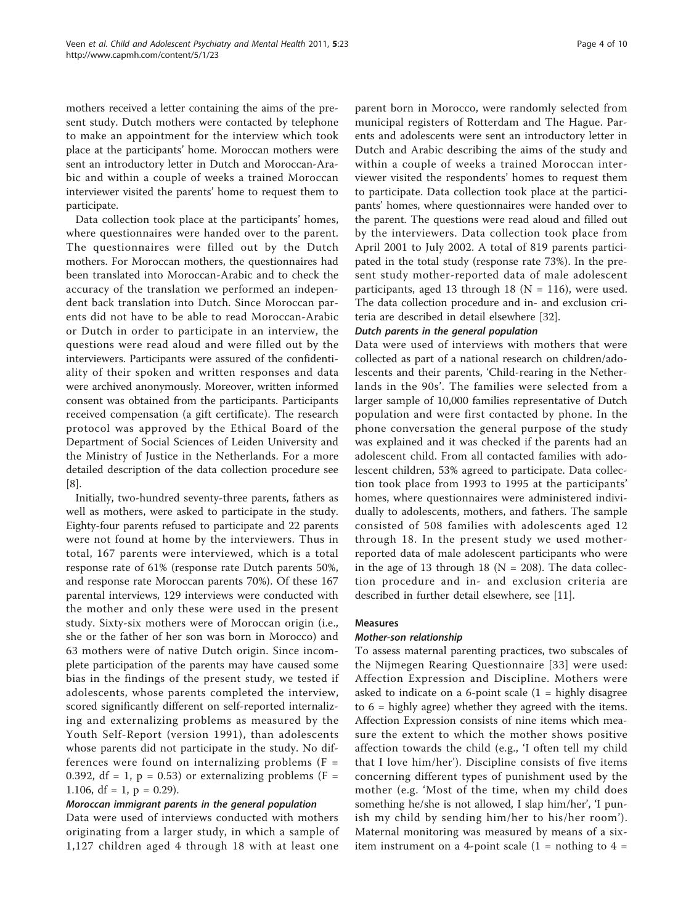mothers received a letter containing the aims of the present study. Dutch mothers were contacted by telephone to make an appointment for the interview which took place at the participants' home. Moroccan mothers were sent an introductory letter in Dutch and Moroccan-Arabic and within a couple of weeks a trained Moroccan interviewer visited the parents' home to request them to participate.

Data collection took place at the participants' homes, where questionnaires were handed over to the parent. The questionnaires were filled out by the Dutch mothers. For Moroccan mothers, the questionnaires had been translated into Moroccan-Arabic and to check the accuracy of the translation we performed an independent back translation into Dutch. Since Moroccan parents did not have to be able to read Moroccan-Arabic or Dutch in order to participate in an interview, the questions were read aloud and were filled out by the interviewers. Participants were assured of the confidentiality of their spoken and written responses and data were archived anonymously. Moreover, written informed consent was obtained from the participants. Participants received compensation (a gift certificate). The research protocol was approved by the Ethical Board of the Department of Social Sciences of Leiden University and the Ministry of Justice in the Netherlands. For a more detailed description of the data collection procedure see [[8\]](#page-8-0).

Initially, two-hundred seventy-three parents, fathers as well as mothers, were asked to participate in the study. Eighty-four parents refused to participate and 22 parents were not found at home by the interviewers. Thus in total, 167 parents were interviewed, which is a total response rate of 61% (response rate Dutch parents 50%, and response rate Moroccan parents 70%). Of these 167 parental interviews, 129 interviews were conducted with the mother and only these were used in the present study. Sixty-six mothers were of Moroccan origin (i.e., she or the father of her son was born in Morocco) and 63 mothers were of native Dutch origin. Since incomplete participation of the parents may have caused some bias in the findings of the present study, we tested if adolescents, whose parents completed the interview, scored significantly different on self-reported internalizing and externalizing problems as measured by the Youth Self-Report (version 1991), than adolescents whose parents did not participate in the study. No differences were found on internalizing problems  $(F =$ 0.392, df = 1,  $p = 0.53$ ) or externalizing problems (F = 1.106,  $df = 1$ ,  $p = 0.29$ ).

#### Moroccan immigrant parents in the general population

Data were used of interviews conducted with mothers originating from a larger study, in which a sample of 1,127 children aged 4 through 18 with at least one

parent born in Morocco, were randomly selected from municipal registers of Rotterdam and The Hague. Parents and adolescents were sent an introductory letter in Dutch and Arabic describing the aims of the study and within a couple of weeks a trained Moroccan interviewer visited the respondents' homes to request them to participate. Data collection took place at the participants' homes, where questionnaires were handed over to the parent. The questions were read aloud and filled out by the interviewers. Data collection took place from April 2001 to July 2002. A total of 819 parents participated in the total study (response rate 73%). In the present study mother-reported data of male adolescent participants, aged 13 through 18 ( $N = 116$ ), were used. The data collection procedure and in- and exclusion criteria are described in detail elsewhere [\[32\]](#page-9-0).

#### Dutch parents in the general population

Data were used of interviews with mothers that were collected as part of a national research on children/adolescents and their parents, 'Child-rearing in the Netherlands in the 90s'. The families were selected from a larger sample of 10,000 families representative of Dutch population and were first contacted by phone. In the phone conversation the general purpose of the study was explained and it was checked if the parents had an adolescent child. From all contacted families with adolescent children, 53% agreed to participate. Data collection took place from 1993 to 1995 at the participants' homes, where questionnaires were administered individually to adolescents, mothers, and fathers. The sample consisted of 508 families with adolescents aged 12 through 18. In the present study we used motherreported data of male adolescent participants who were in the age of 13 through 18 ( $N = 208$ ). The data collection procedure and in- and exclusion criteria are described in further detail elsewhere, see [\[11](#page-8-0)].

#### Measures

#### Mother-son relationship

To assess maternal parenting practices, two subscales of the Nijmegen Rearing Questionnaire [[33\]](#page-9-0) were used: Affection Expression and Discipline. Mothers were asked to indicate on a 6-point scale  $(1 = \text{highly disagree})$ to 6 = highly agree) whether they agreed with the items. Affection Expression consists of nine items which measure the extent to which the mother shows positive affection towards the child (e.g., 'I often tell my child that I love him/her'). Discipline consists of five items concerning different types of punishment used by the mother (e.g. 'Most of the time, when my child does something he/she is not allowed, I slap him/her', 'I punish my child by sending him/her to his/her room'). Maternal monitoring was measured by means of a sixitem instrument on a 4-point scale  $(1 = \text{nothing to } 4 =$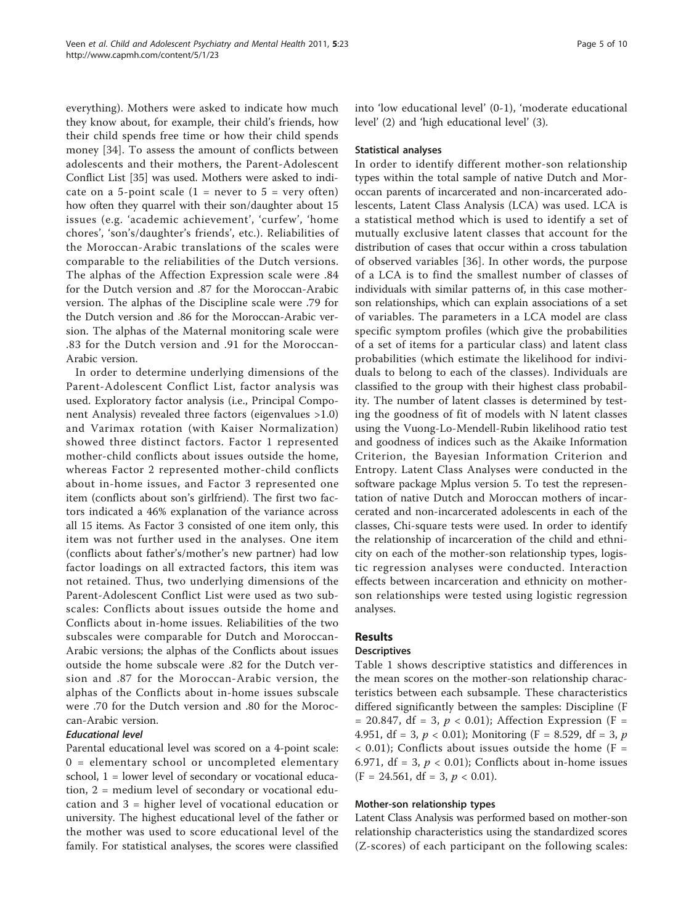everything). Mothers were asked to indicate how much they know about, for example, their child's friends, how their child spends free time or how their child spends money [\[34](#page-9-0)]. To assess the amount of conflicts between adolescents and their mothers, the Parent-Adolescent Conflict List [\[35](#page-9-0)] was used. Mothers were asked to indicate on a 5-point scale  $(1 =$  never to  $5 =$  very often) how often they quarrel with their son/daughter about 15 issues (e.g. 'academic achievement', 'curfew', 'home chores', 'son's/daughter's friends', etc.). Reliabilities of the Moroccan-Arabic translations of the scales were comparable to the reliabilities of the Dutch versions. The alphas of the Affection Expression scale were .84 for the Dutch version and .87 for the Moroccan-Arabic version. The alphas of the Discipline scale were .79 for the Dutch version and .86 for the Moroccan-Arabic version. The alphas of the Maternal monitoring scale were .83 for the Dutch version and .91 for the Moroccan-Arabic version.

In order to determine underlying dimensions of the Parent-Adolescent Conflict List, factor analysis was used. Exploratory factor analysis (i.e., Principal Component Analysis) revealed three factors (eigenvalues >1.0) and Varimax rotation (with Kaiser Normalization) showed three distinct factors. Factor 1 represented mother-child conflicts about issues outside the home, whereas Factor 2 represented mother-child conflicts about in-home issues, and Factor 3 represented one item (conflicts about son's girlfriend). The first two factors indicated a 46% explanation of the variance across all 15 items. As Factor 3 consisted of one item only, this item was not further used in the analyses. One item (conflicts about father's/mother's new partner) had low factor loadings on all extracted factors, this item was not retained. Thus, two underlying dimensions of the Parent-Adolescent Conflict List were used as two subscales: Conflicts about issues outside the home and Conflicts about in-home issues. Reliabilities of the two subscales were comparable for Dutch and Moroccan-Arabic versions; the alphas of the Conflicts about issues outside the home subscale were .82 for the Dutch version and .87 for the Moroccan-Arabic version, the alphas of the Conflicts about in-home issues subscale were .70 for the Dutch version and .80 for the Moroccan-Arabic version.

#### Educational level

Parental educational level was scored on a 4-point scale: 0 = elementary school or uncompleted elementary school, 1 = lower level of secondary or vocational education, 2 = medium level of secondary or vocational education and 3 = higher level of vocational education or university. The highest educational level of the father or the mother was used to score educational level of the family. For statistical analyses, the scores were classified into 'low educational level' (0-1), 'moderate educational level' (2) and 'high educational level' (3).

#### Statistical analyses

In order to identify different mother-son relationship types within the total sample of native Dutch and Moroccan parents of incarcerated and non-incarcerated adolescents, Latent Class Analysis (LCA) was used. LCA is a statistical method which is used to identify a set of mutually exclusive latent classes that account for the distribution of cases that occur within a cross tabulation of observed variables [\[36](#page-9-0)]. In other words, the purpose of a LCA is to find the smallest number of classes of individuals with similar patterns of, in this case motherson relationships, which can explain associations of a set of variables. The parameters in a LCA model are class specific symptom profiles (which give the probabilities of a set of items for a particular class) and latent class probabilities (which estimate the likelihood for individuals to belong to each of the classes). Individuals are classified to the group with their highest class probability. The number of latent classes is determined by testing the goodness of fit of models with N latent classes using the Vuong-Lo-Mendell-Rubin likelihood ratio test and goodness of indices such as the Akaike Information Criterion, the Bayesian Information Criterion and Entropy. Latent Class Analyses were conducted in the software package Mplus version 5. To test the representation of native Dutch and Moroccan mothers of incarcerated and non-incarcerated adolescents in each of the classes, Chi-square tests were used. In order to identify the relationship of incarceration of the child and ethnicity on each of the mother-son relationship types, logistic regression analyses were conducted. Interaction effects between incarceration and ethnicity on motherson relationships were tested using logistic regression analyses.

#### Results

#### **Descriptives**

Table [1](#page-5-0) shows descriptive statistics and differences in the mean scores on the mother-son relationship characteristics between each subsample. These characteristics differed significantly between the samples: Discipline (F  $= 20.847$ , df  $= 3$ ,  $p < 0.01$ ); Affection Expression (F  $=$ 4.951, df = 3,  $p < 0.01$ ); Monitoring (F = 8.529, df = 3,  $p$ )  $<$  0.01); Conflicts about issues outside the home (F = 6.971, df = 3,  $p < 0.01$ ); Conflicts about in-home issues  $(F = 24.561, df = 3, p < 0.01).$ 

#### Mother-son relationship types

Latent Class Analysis was performed based on mother-son relationship characteristics using the standardized scores (Z-scores) of each participant on the following scales: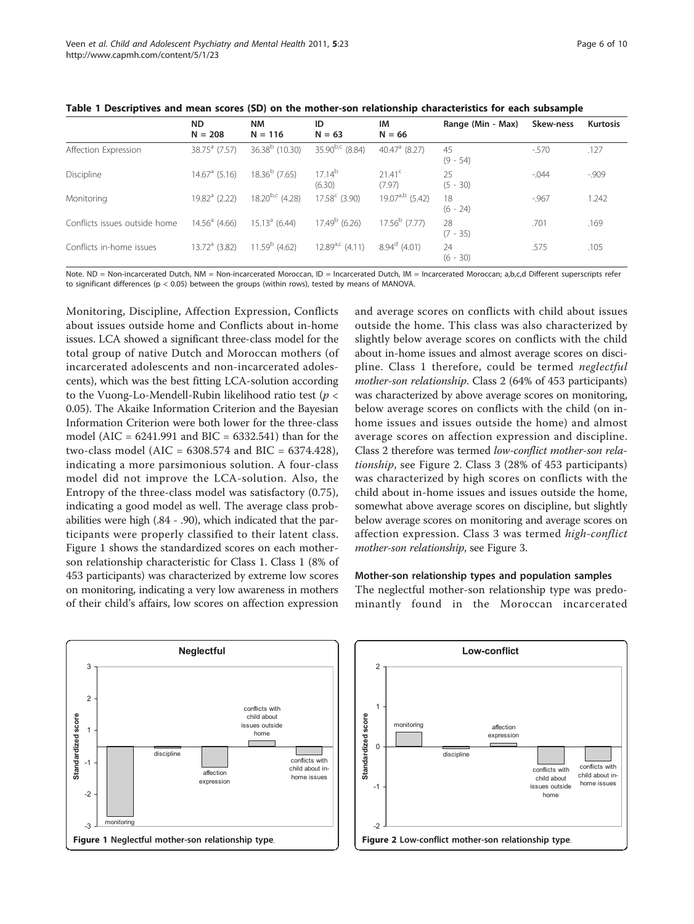|                               | ND.<br>$N = 208$ | NM<br>$N = 116$      | ID<br>$N = 63$                     | IM<br>$N = 66$            | Range (Min - Max) | Skew-ness | <b>Kurtosis</b> |
|-------------------------------|------------------|----------------------|------------------------------------|---------------------------|-------------------|-----------|-----------------|
| Affection Expression          | $38.75^a$ (7.57) | $36.38b$ (10.30)     | $35.90^{b,c}$ (8.84)               | $40.47a$ (8.27)           | 45<br>$(9 - 54)$  | $-570$    | .127            |
| Discipline                    | $14.67a$ (5.16)  | $18.36^{b}$ (7.65)   | $17.14^{b}$<br>(6.30)              | $21.41^{\circ}$<br>(7.97) | 25<br>$(5 - 30)$  | $-0.044$  | $-909$          |
| Monitoring                    | $19.82a$ (2.22)  | $18.20^{b,c}$ (4.28) | $17.58^{\circ}$ (3.90)             | $19.07^{a,b}$ (5.42)      | 18<br>$(6 - 24)$  | $-967$    | 1.242           |
| Conflicts issues outside home | $14.56a$ (4.66)  | $15.13^a$ (6.44)     | $17.49b$ (6.26)                    | $17.56b$ (7.77)           | 28<br>$(7 - 35)$  | .701      | .169            |
| Conflicts in-home issues      | $13.72a$ (3.82)  | $11.59^b$ (4.62)     | $12.89^{\text{a},\text{c}}$ (4.11) | $8.94^d$ (4.01)           | 24<br>$(6 - 30)$  | .575      | .105            |

<span id="page-5-0"></span>Table 1 Descriptives and mean scores (SD) on the mother-son relationship characteristics for each subsample

Note. ND = Non-incarcerated Dutch, NM = Non-incarcerated Moroccan, ID = Incarcerated Dutch, IM = Incarcerated Moroccan; a,b,c,d Different superscripts refer to significant differences (p < 0.05) between the groups (within rows), tested by means of MANOVA.

Monitoring, Discipline, Affection Expression, Conflicts about issues outside home and Conflicts about in-home issues. LCA showed a significant three-class model for the total group of native Dutch and Moroccan mothers (of incarcerated adolescents and non-incarcerated adolescents), which was the best fitting LCA-solution according to the Vuong-Lo-Mendell-Rubin likelihood ratio test ( $p <$ 0.05). The Akaike Information Criterion and the Bayesian Information Criterion were both lower for the three-class model (AIC = 6241.991 and BIC = 6332.541) than for the two-class model (AIC = 6308.574 and BIC = 6374.428), indicating a more parsimonious solution. A four-class model did not improve the LCA-solution. Also, the Entropy of the three-class model was satisfactory (0.75), indicating a good model as well. The average class probabilities were high (.84 - .90), which indicated that the participants were properly classified to their latent class. Figure 1 shows the standardized scores on each motherson relationship characteristic for Class 1. Class 1 (8% of 453 participants) was characterized by extreme low scores on monitoring, indicating a very low awareness in mothers of their child's affairs, low scores on affection expression

and average scores on conflicts with child about issues outside the home. This class was also characterized by slightly below average scores on conflicts with the child about in-home issues and almost average scores on discipline. Class 1 therefore, could be termed neglectful mother-son relationship. Class 2 (64% of 453 participants) was characterized by above average scores on monitoring, below average scores on conflicts with the child (on inhome issues and issues outside the home) and almost average scores on affection expression and discipline. Class 2 therefore was termed low-conflict mother-son relationship, see Figure 2. Class 3 (28% of 453 participants) was characterized by high scores on conflicts with the child about in-home issues and issues outside the home, somewhat above average scores on discipline, but slightly below average scores on monitoring and average scores on affection expression. Class 3 was termed high-conflict mother-son relationship, see Figure [3.](#page-6-0)

#### Mother-son relationship types and population samples

The neglectful mother-son relationship type was predominantly found in the Moroccan incarcerated



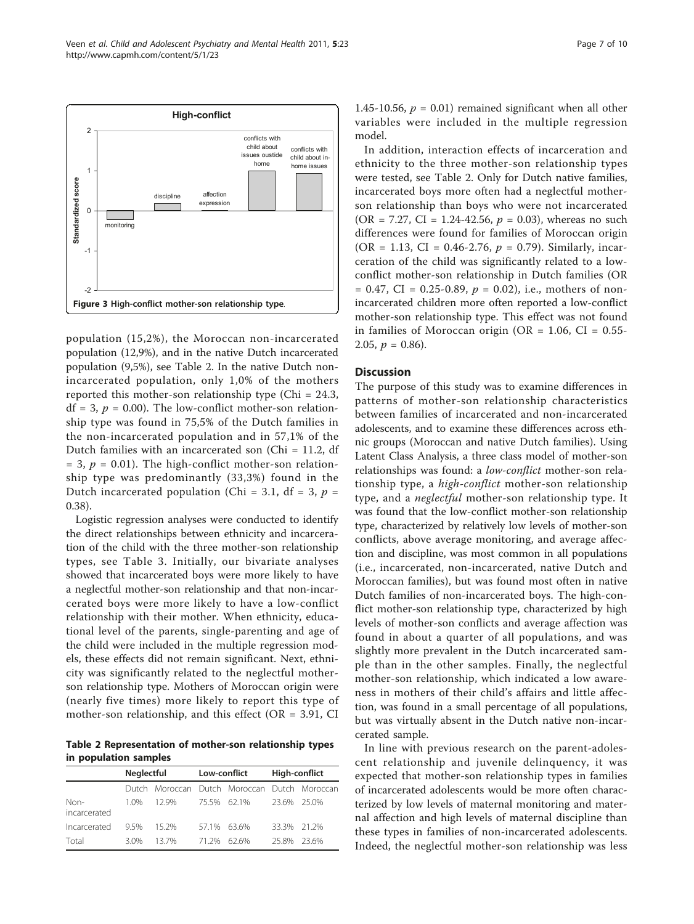<span id="page-6-0"></span>Veen et al. Child and Adolescent Psychiatry and Mental Health 2011, 5:23 http://www.capmh.com/content/5/1/23



population (15,2%), the Moroccan non-incarcerated population (12,9%), and in the native Dutch incarcerated population (9,5%), see Table 2. In the native Dutch nonincarcerated population, only 1,0% of the mothers reported this mother-son relationship type (Chi = 24.3,  $df = 3$ ,  $p = 0.00$ ). The low-conflict mother-son relationship type was found in 75,5% of the Dutch families in the non-incarcerated population and in 57,1% of the Dutch families with an incarcerated son (Chi = 11.2, df  $= 3, p = 0.01$ . The high-conflict mother-son relationship type was predominantly (33,3%) found in the Dutch incarcerated population (Chi = 3.1, df = 3,  $p =$ 0.38).

Logistic regression analyses were conducted to identify the direct relationships between ethnicity and incarceration of the child with the three mother-son relationship types, see Table [3](#page-7-0). Initially, our bivariate analyses showed that incarcerated boys were more likely to have a neglectful mother-son relationship and that non-incarcerated boys were more likely to have a low-conflict relationship with their mother. When ethnicity, educational level of the parents, single-parenting and age of the child were included in the multiple regression models, these effects did not remain significant. Next, ethnicity was significantly related to the neglectful motherson relationship type. Mothers of Moroccan origin were (nearly five times) more likely to report this type of mother-son relationship, and this effect ( $OR = 3.91$ , CI

Table 2 Representation of mother-son relationship types in population samples

|                      |         | Neglectful |             | Low-conflict                                 | High-conflict |         |  |  |
|----------------------|---------|------------|-------------|----------------------------------------------|---------------|---------|--|--|
|                      |         |            |             | Dutch Moroccan Dutch Moroccan Dutch Moroccan |               |         |  |  |
| Non-<br>incarcerated | 10%     | 129%       |             | 75.5% 62.1%                                  | 23.6% 25.0%   |         |  |  |
| Incarcerated         | $9.5\%$ | 15 2%      | 57.1% 63.6% |                                              | 33.3% 21.2%   |         |  |  |
| Total                | 3.0%    | 13.7%      | 71 2%       | 62.6%                                        | 25.8%         | - 23.6% |  |  |

1.45-10.56,  $p = 0.01$ ) remained significant when all other variables were included in the multiple regression model.

In addition, interaction effects of incarceration and ethnicity to the three mother-son relationship types were tested, see Table 2. Only for Dutch native families, incarcerated boys more often had a neglectful motherson relationship than boys who were not incarcerated (OR = 7.27, CI = 1.24-42.56,  $p = 0.03$ ), whereas no such differences were found for families of Moroccan origin (OR = 1.13, CI = 0.46-2.76,  $p = 0.79$ ). Similarly, incarceration of the child was significantly related to a lowconflict mother-son relationship in Dutch families (OR  $= 0.47$ , CI = 0.25-0.89,  $p = 0.02$ ), i.e., mothers of nonincarcerated children more often reported a low-conflict mother-son relationship type. This effect was not found in families of Moroccan origin (OR =  $1.06$ , CI =  $0.55$ -2.05,  $p = 0.86$ ).

#### **Discussion**

The purpose of this study was to examine differences in patterns of mother-son relationship characteristics between families of incarcerated and non-incarcerated adolescents, and to examine these differences across ethnic groups (Moroccan and native Dutch families). Using Latent Class Analysis, a three class model of mother-son relationships was found: a low-conflict mother-son relationship type, a high-conflict mother-son relationship type, and a *neglectful* mother-son relationship type. It was found that the low-conflict mother-son relationship type, characterized by relatively low levels of mother-son conflicts, above average monitoring, and average affection and discipline, was most common in all populations (i.e., incarcerated, non-incarcerated, native Dutch and Moroccan families), but was found most often in native Dutch families of non-incarcerated boys. The high-conflict mother-son relationship type, characterized by high levels of mother-son conflicts and average affection was found in about a quarter of all populations, and was slightly more prevalent in the Dutch incarcerated sample than in the other samples. Finally, the neglectful mother-son relationship, which indicated a low awareness in mothers of their child's affairs and little affection, was found in a small percentage of all populations, but was virtually absent in the Dutch native non-incarcerated sample.

In line with previous research on the parent-adolescent relationship and juvenile delinquency, it was expected that mother-son relationship types in families of incarcerated adolescents would be more often characterized by low levels of maternal monitoring and maternal affection and high levels of maternal discipline than these types in families of non-incarcerated adolescents. Indeed, the neglectful mother-son relationship was less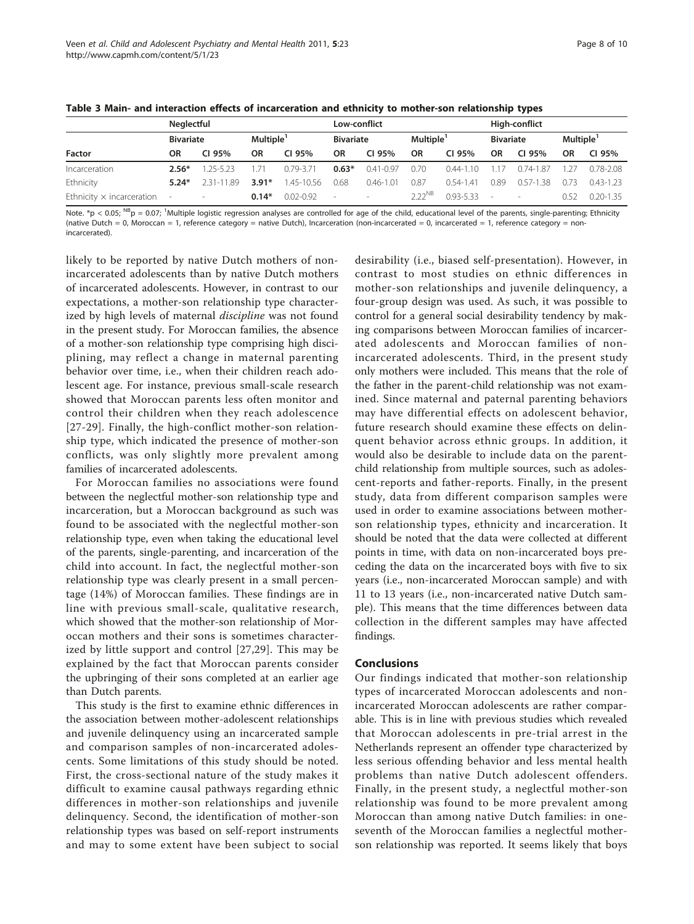|                                  | <b>Neglectful</b> |                         |                       |                   | Low-conflict             |               |                       |           | High-conflict    |               |                       |                   |
|----------------------------------|-------------------|-------------------------|-----------------------|-------------------|--------------------------|---------------|-----------------------|-----------|------------------|---------------|-----------------------|-------------------|
|                                  | <b>Bivariate</b>  |                         | Multiple <sup>1</sup> |                   | <b>Bivariate</b>         |               | Multiple <sup>1</sup> |           | <b>Bivariate</b> |               | Multiple <sup>1</sup> |                   |
| Factor                           | OR                | CI 95%                  | OR                    | CI <sub>95%</sub> | <b>OR</b>                | CI 95%        | <b>OR</b>             | CI 95%    | OR               | CI 95%        | OR                    | CI <sub>95%</sub> |
| Incarceration                    | $2.56*$           | 1 25-5 23               |                       | 0.79-3.71         | $0.63*$                  | $0.41 - 0.97$ | 0.70                  | $044-110$ |                  | 0.74-1.87     |                       | $0.78 - 2.08$     |
| Ethnicity                        | $5.24*$           | 231-1189                | $3.91*$               | 1.45-10.56        | 0.68                     | $0.46 - 1.01$ | 0.87                  | $054-141$ | 0.89             | $0.57 - 1.38$ | 0.73                  | $043 - 123$       |
| Ethnicity $\times$ incarceration | $\sim$            | $\sim 100$ km s $^{-1}$ | $0.14*$               | $0.02 - 0.92$     | $\overline{\phantom{a}}$ |               | 222 <sup>NB</sup>     | 093-533   | $\sim$           |               | በ 52                  | 0 20-1 35         |

<span id="page-7-0"></span>Table 3 Main- and interaction effects of incarceration and ethnicity to mother-son relationship types

Note.  $*_p$  < 0.05;  $^{NB}$ p = 0.07; <sup>1</sup>Multiple logistic regression analyses are controlled for age of the child, educational level of the parents, single-parenting; Ethnicity (native Dutch = 0, Moroccan = 1, reference category = native Dutch), Incarceration (non-incarcerated = 0, incarcerated = 1, reference category = nonincarcerated).

likely to be reported by native Dutch mothers of nonincarcerated adolescents than by native Dutch mothers of incarcerated adolescents. However, in contrast to our expectations, a mother-son relationship type characterized by high levels of maternal *discipline* was not found in the present study. For Moroccan families, the absence of a mother-son relationship type comprising high disciplining, may reflect a change in maternal parenting behavior over time, i.e., when their children reach adolescent age. For instance, previous small-scale research showed that Moroccan parents less often monitor and control their children when they reach adolescence [[27](#page-9-0)-[29](#page-9-0)]. Finally, the high-conflict mother-son relationship type, which indicated the presence of mother-son conflicts, was only slightly more prevalent among families of incarcerated adolescents.

For Moroccan families no associations were found between the neglectful mother-son relationship type and incarceration, but a Moroccan background as such was found to be associated with the neglectful mother-son relationship type, even when taking the educational level of the parents, single-parenting, and incarceration of the child into account. In fact, the neglectful mother-son relationship type was clearly present in a small percentage (14%) of Moroccan families. These findings are in line with previous small-scale, qualitative research, which showed that the mother-son relationship of Moroccan mothers and their sons is sometimes characterized by little support and control [[27,29\]](#page-9-0). This may be explained by the fact that Moroccan parents consider the upbringing of their sons completed at an earlier age than Dutch parents.

This study is the first to examine ethnic differences in the association between mother-adolescent relationships and juvenile delinquency using an incarcerated sample and comparison samples of non-incarcerated adolescents. Some limitations of this study should be noted. First, the cross-sectional nature of the study makes it difficult to examine causal pathways regarding ethnic differences in mother-son relationships and juvenile delinquency. Second, the identification of mother-son relationship types was based on self-report instruments and may to some extent have been subject to social

desirability (i.e., biased self-presentation). However, in contrast to most studies on ethnic differences in mother-son relationships and juvenile delinquency, a four-group design was used. As such, it was possible to control for a general social desirability tendency by making comparisons between Moroccan families of incarcerated adolescents and Moroccan families of nonincarcerated adolescents. Third, in the present study only mothers were included. This means that the role of the father in the parent-child relationship was not examined. Since maternal and paternal parenting behaviors may have differential effects on adolescent behavior, future research should examine these effects on delinquent behavior across ethnic groups. In addition, it would also be desirable to include data on the parentchild relationship from multiple sources, such as adolescent-reports and father-reports. Finally, in the present study, data from different comparison samples were used in order to examine associations between motherson relationship types, ethnicity and incarceration. It should be noted that the data were collected at different points in time, with data on non-incarcerated boys preceding the data on the incarcerated boys with five to six years (i.e., non-incarcerated Moroccan sample) and with 11 to 13 years (i.e., non-incarcerated native Dutch sample). This means that the time differences between data collection in the different samples may have affected findings.

#### Conclusions

Our findings indicated that mother-son relationship types of incarcerated Moroccan adolescents and nonincarcerated Moroccan adolescents are rather comparable. This is in line with previous studies which revealed that Moroccan adolescents in pre-trial arrest in the Netherlands represent an offender type characterized by less serious offending behavior and less mental health problems than native Dutch adolescent offenders. Finally, in the present study, a neglectful mother-son relationship was found to be more prevalent among Moroccan than among native Dutch families: in oneseventh of the Moroccan families a neglectful motherson relationship was reported. It seems likely that boys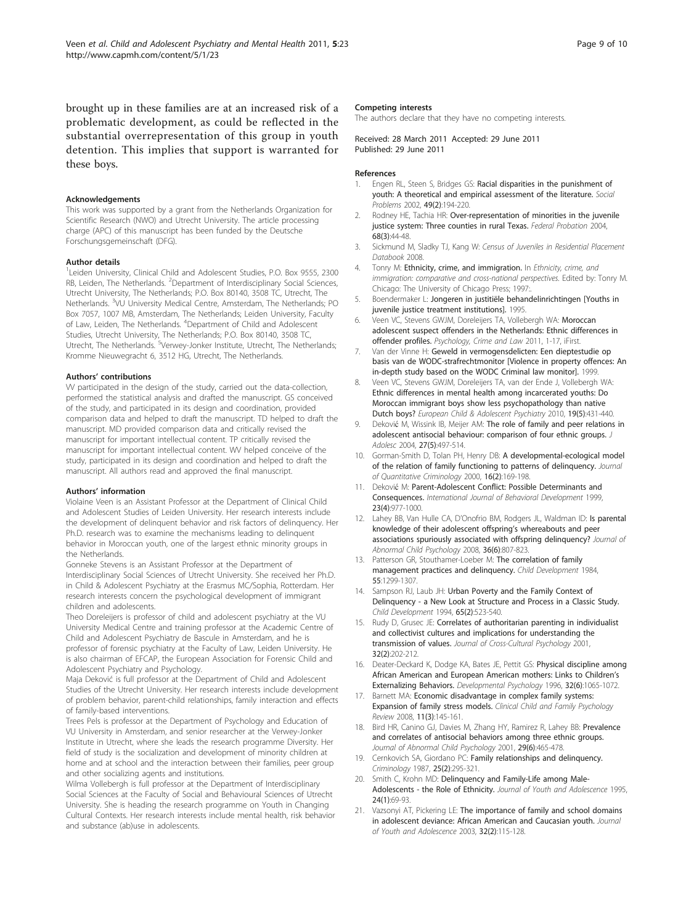<span id="page-8-0"></span>brought up in these families are at an increased risk of a problematic development, as could be reflected in the substantial overrepresentation of this group in youth detention. This implies that support is warranted for these boys.

#### Acknowledgements

This work was supported by a grant from the Netherlands Organization for Scientific Research (NWO) and Utrecht University. The article processing charge (APC) of this manuscript has been funded by the Deutsche Forschungsgemeinschaft (DFG).

#### Author details

<sup>1</sup>Leiden University, Clinical Child and Adolescent Studies, P.O. Box 9555, 2300 RB, Leiden, The Netherlands. <sup>2</sup>Department of Interdisciplinary Social Sciences, Utrecht University, The Netherlands; P.O. Box 80140, 3508 TC, Utrecht, The Netherlands. <sup>3</sup>VU University Medical Centre, Amsterdam, The Netherlands; PO Box 7057, 1007 MB, Amsterdam, The Netherlands; Leiden University, Faculty of Law, Leiden, The Netherlands. <sup>4</sup>Department of Child and Adolescent Studies, Utrecht University, The Netherlands; P.O. Box 80140, 3508 TC, Utrecht, The Netherlands. <sup>5</sup>Verwey-Jonker Institute, Utrecht, The Netherlands; Kromme Nieuwegracht 6, 3512 HG, Utrecht, The Netherlands.

#### Authors' contributions

VV participated in the design of the study, carried out the data-collection, performed the statistical analysis and drafted the manuscript. GS conceived of the study, and participated in its design and coordination, provided comparison data and helped to draft the manuscript. TD helped to draft the manuscript. MD provided comparison data and critically revised the manuscript for important intellectual content. TP critically revised the manuscript for important intellectual content. WV helped conceive of the study, participated in its design and coordination and helped to draft the manuscript. All authors read and approved the final manuscript.

#### Authors' information

Violaine Veen is an Assistant Professor at the Department of Clinical Child and Adolescent Studies of Leiden University. Her research interests include the development of delinquent behavior and risk factors of delinquency. Her Ph.D. research was to examine the mechanisms leading to delinquent behavior in Moroccan youth, one of the largest ethnic minority groups in the Netherlands.

Gonneke Stevens is an Assistant Professor at the Department of Interdisciplinary Social Sciences of Utrecht University. She received her Ph.D. in Child & Adolescent Psychiatry at the Erasmus MC/Sophia, Rotterdam. Her research interests concern the psychological development of immigrant children and adolescents.

Theo Doreleijers is professor of child and adolescent psychiatry at the VU University Medical Centre and training professor at the Academic Centre of Child and Adolescent Psychiatry de Bascule in Amsterdam, and he is professor of forensic psychiatry at the Faculty of Law, Leiden University. He is also chairman of EFCAP, the European Association for Forensic Child and Adolescent Psychiatry and Psychology.

Maja Deković is full professor at the Department of Child and Adolescent Studies of the Utrecht University. Her research interests include development of problem behavior, parent-child relationships, family interaction and effects of family-based interventions.

Trees Pels is professor at the Department of Psychology and Education of VU University in Amsterdam, and senior researcher at the Verwey-Jonker Institute in Utrecht, where she leads the research programme Diversity. Her field of study is the socialization and development of minority children at home and at school and the interaction between their families, peer group and other socializing agents and institutions.

Wilma Vollebergh is full professor at the Department of Interdisciplinary Social Sciences at the Faculty of Social and Behavioural Sciences of Utrecht University. She is heading the research programme on Youth in Changing Cultural Contexts. Her research interests include mental health, risk behavior and substance (ab)use in adolescents.

#### Competing interests

The authors declare that they have no competing interests.

Received: 28 March 2011 Accepted: 29 June 2011 Published: 29 June 2011

#### References

- 1. Engen RL, Steen S, Bridges GS: Racial disparities in the punishment of youth: A theoretical and empirical assessment of the literature. Social Problems 2002, 49(2):194-220.
- Rodney HE, Tachia HR: Over-representation of minorities in the juvenile justice system: Three counties in rural Texas. Federal Probation 2004. 68(3):44-48.
- 3. Sickmund M, Sladky TJ, Kang W: Census of Juveniles in Residential Placement Databook 2008.
- 4. Tonry M: Ethnicity, crime, and immigration. In Ethnicity, crime, and immigration: comparative and cross-national perspectives. Edited by: Tonry M. Chicago: The University of Chicago Press; 1997:.
- 5. Boendermaker L: Jongeren in justitiële behandelinrichtingen [Youths in juvenile justice treatment institutions]. 1995.
- 6. Veen VC, Stevens GWJM, Doreleijers TA, Vollebergh WA: Moroccan adolescent suspect offenders in the Netherlands: Ethnic differences in offender profiles. Psychology, Crime and Law 2011, 1-17, iFirst.
- 7. Van der Vinne H: Geweld in vermogensdelicten: Een dieptestudie op basis van de WODC-strafrechtmonitor [Violence in property offences: An in-depth study based on the WODC Criminal law monitor]. 1999.
- 8. Veen VC, Stevens GWJM, Doreleijers TA, van der Ende J, Vollebergh WA: [Ethnic differences in mental health among incarcerated youths: Do](http://www.ncbi.nlm.nih.gov/pubmed/21716133?dopt=Abstract) [Moroccan immigrant boys show less psychopathology than native](http://www.ncbi.nlm.nih.gov/pubmed/21716133?dopt=Abstract) [Dutch boys?](http://www.ncbi.nlm.nih.gov/pubmed/21716133?dopt=Abstract) European Child & Adolescent Psychiatry 2010, 19(5):431-440.
- 9. Deković M, Wissink IB, Meijer AM: [The role of family and peer relations in](http://www.ncbi.nlm.nih.gov/pubmed/15475043?dopt=Abstract) [adolescent antisocial behaviour: comparison of four ethnic groups.](http://www.ncbi.nlm.nih.gov/pubmed/15475043?dopt=Abstract) J Adolesc 2004, 27(5):497-514.
- 10. Gorman-Smith D, Tolan PH, Henry DB: A developmental-ecological model of the relation of family functioning to patterns of delinquency. Journal of Quantitative Criminology 2000, 16(2):169-198.
- 11. Deković M: Parent-Adolescent Conflict: Possible Determinants and Consequences. International Journal of Behavioral Development 1999, 23(4):977-1000.
- 12. Lahey BB, Van Hulle CA, D'Onofrio BM, Rodgers JL, Waldman ID: [Is parental](http://www.ncbi.nlm.nih.gov/pubmed/18214666?dopt=Abstract) [knowledge of their adolescent offspring](http://www.ncbi.nlm.nih.gov/pubmed/18214666?dopt=Abstract)'s whereabouts and peer [associations spuriously associated with offspring delinquency?](http://www.ncbi.nlm.nih.gov/pubmed/18214666?dopt=Abstract) Journal of Abnormal Child Psychology 2008, 36(6):807-823.
- 13. Patterson GR, Stouthamer-Loeber M: [The correlation of family](http://www.ncbi.nlm.nih.gov/pubmed/6488958?dopt=Abstract) [management practices and delinquency.](http://www.ncbi.nlm.nih.gov/pubmed/6488958?dopt=Abstract) Child Development 1984, 55:1299-1307.
- 14. Sampson RJ, Laub JH: [Urban Poverty and the Family Context of](http://www.ncbi.nlm.nih.gov/pubmed/8013238?dopt=Abstract) [Delinquency - a New Look at Structure and Process in a Classic Study.](http://www.ncbi.nlm.nih.gov/pubmed/8013238?dopt=Abstract) Child Development 1994, 65(2):523-540.
- 15. Rudy D, Grusec JE: Correlates of authoritarian parenting in individualist and collectivist cultures and implications for understanding the transmission of values. Journal of Cross-Cultural Psychology 2001, 32(2):202-212.
- 16. Deater-Deckard K, Dodge KA, Bates JE, Pettit GS: Physical discipline among African American and European American mothers: Links to Children's Externalizing Behaviors. Developmental Psychology 1996, 32(6):1065-1072.
- 17. Barnett MA: [Economic disadvantage in complex family systems:](http://www.ncbi.nlm.nih.gov/pubmed/18491229?dopt=Abstract) [Expansion of family stress models.](http://www.ncbi.nlm.nih.gov/pubmed/18491229?dopt=Abstract) Clinical Child and Family Psychology Review 2008, 11(3):145-161.
- 18. Bird HR, Canino GJ, Davies M, Zhang HY, Ramirez R, Lahey BB: [Prevalence](http://www.ncbi.nlm.nih.gov/pubmed/11761281?dopt=Abstract) [and correlates of antisocial behaviors among three ethnic groups.](http://www.ncbi.nlm.nih.gov/pubmed/11761281?dopt=Abstract) Journal of Abnormal Child Psychology 2001, 29(6):465-478.
- 19. Cernkovich SA, Giordano PC: Family relationships and delinquency. Criminology 1987, 25(2):295-321.
- 20. Smith C, Krohn MD: Delinquency and Family-Life among Male-Adolescents - the Role of Ethnicity. Journal of Youth and Adolescence 1995, 24(1):69-93.
- 21. Vazsonyi AT, Pickering LE: The importance of family and school domains in adolescent deviance: African American and Caucasian youth. Journal of Youth and Adolescence 2003, 32(2):115-128.